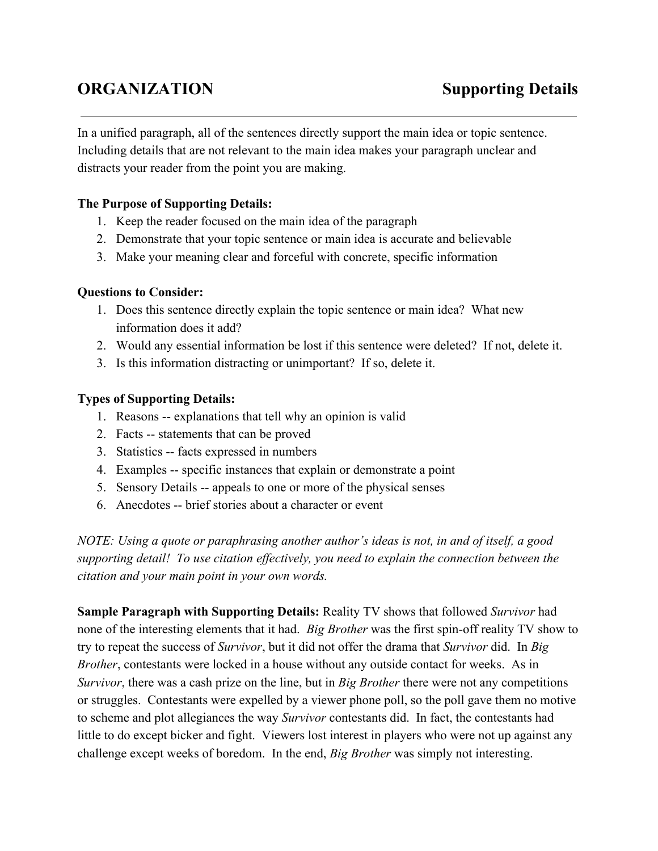# **ORGANIZATION Supporting Details**

In a unified paragraph, all of the sentences directly support the main idea or topic sentence. Including details that are not relevant to the main idea makes your paragraph unclear and distracts your reader from the point you are making.

# **The Purpose of Supporting Details:**

- 1. Keep the reader focused on the main idea of the paragraph
- 2. Demonstrate that your topic sentence or main idea is accurate and believable
- 3. Make your meaning clear and forceful with concrete, specific information

#### **Questions to Consider:**

- 1. Does this sentence directly explain the topic sentence or main idea? What new information does it add?
- 2. Would any essential information be lost if this sentence were deleted? If not, delete it.
- 3. Is this information distracting or unimportant? If so, delete it.

#### **Types of Supporting Details:**

- 1. Reasons -- explanations that tell why an opinion is valid
- 2. Facts -- statements that can be proved
- 3. Statistics -- facts expressed in numbers
- 4. Examples -- specific instances that explain or demonstrate a point
- 5. Sensory Details -- appeals to one or more of the physical senses
- 6. Anecdotes -- brief stories about a character or event

*NOTE: Using a quote or paraphrasing another author's ideas is not, in and of itself, a good supporting detail! To use citation ef ectively, you need to explain the connection between the citation and your main point in your own words.*

**Sample Paragraph with Supporting Details:**Reality TV shows that followed *Survivor* had none of the interesting elements that it had. *Big Brother* was the first spin-off reality TV show to try to repeat the success of *Survivor*, but it did not offer the drama that *Survivor* did. In *Big Brother*, contestants were locked in a house without any outside contact for weeks. As in *Survivor*, there was a cash prize on the line, but in *Big Brother* there were not any competitions or struggles. Contestants were expelled by a viewer phone poll, so the poll gave them no motive to scheme and plot allegiances the way *Survivor* contestants did. In fact, the contestants had little to do except bicker and fight. Viewers lost interest in players who were not up against any challenge except weeks of boredom. In the end, *Big Brother* was simply not interesting.